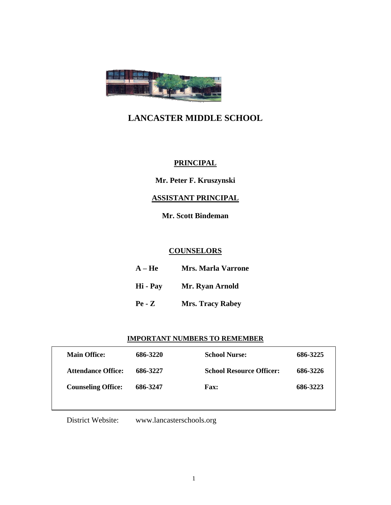

# **LANCASTER MIDDLE SCHOOL**

## **PRINCIPAL**

**Mr. Peter F. Kruszynski**

## **ASSISTANT PRINCIPAL**

**Mr. Scott Bindeman**

## **COUNSELORS**

| $A - He$ | <b>Mrs. Marla Varrone</b> |
|----------|---------------------------|
| Hi - Pay | Mr. Ryan Arnold           |
| $Pe - Z$ | <b>Mrs. Tracy Rabey</b>   |

## **IMPORTANT NUMBERS TO REMEMBER**

| <b>Main Office:</b>       | 686-3220 | <b>School Nurse:</b>            | 686-3225 |
|---------------------------|----------|---------------------------------|----------|
| <b>Attendance Office:</b> | 686-3227 | <b>School Resource Officer:</b> | 686-3226 |
| <b>Counseling Office:</b> | 686-3247 | <b>Fax:</b>                     | 686-3223 |
|                           |          |                                 |          |

District Website: [www.lancasterschools.org](http://www.lancasterschools.org/)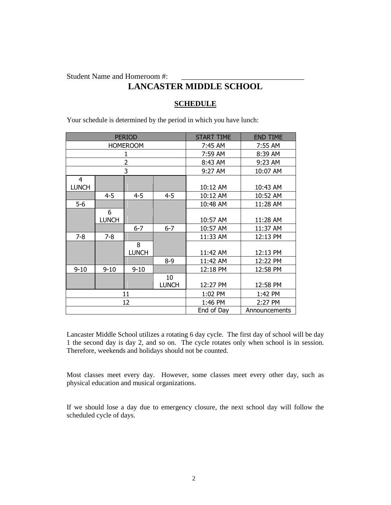Student Name and Homeroom #:

# **LANCASTER MIDDLE SCHOOL**

## **SCHEDULE**

Your schedule is determined by the period in which you have lunch:

|                 |                   | <b>PERIOD</b>     |             | START TIME | <b>END TIME</b> |
|-----------------|-------------------|-------------------|-------------|------------|-----------------|
| <b>HOMEROOM</b> |                   | 7:45 AM           | 7:55 AM     |            |                 |
|                 |                   | 7:59 AM           | 8:39 AM     |            |                 |
| 2               |                   | 8:43 AM           | 9:23 AM     |            |                 |
| 3               |                   | 9:27 AM           | 10:07 AM    |            |                 |
| 4               |                   |                   |             |            |                 |
| <b>LUNCH</b>    |                   |                   |             | 10:12 AM   | 10:43 AM        |
|                 | $4 - 5$           | $4 - 5$           | $4 - 5$     | 10:12 AM   | 10:52 AM        |
| $5-6$           |                   |                   |             | 10:48 AM   | 11:28 AM        |
|                 | 6<br><b>LUNCH</b> |                   |             | 10:57 AM   | 11:28 AM        |
|                 |                   | $6 - 7$           | $6 - 7$     | 10:57 AM   | 11:37 AM        |
| $7-8$           | $7 - 8$           |                   |             | 11:33 AM   | 12:13 PM        |
|                 |                   | 8<br><b>LUNCH</b> |             | 11:42 AM   | 12:13 PM        |
|                 |                   |                   | $8 - 9$     | 11:42 AM   | 12:22 PM        |
| $9 - 10$        | $9 - 10$          | $9 - 10$          |             | 12:18 PM   | 12:58 PM        |
|                 |                   |                   | 10<br>LUNCH | 12:27 PM   | 12:58 PM        |
| 11              |                   | 1:02 PM           | 1:42 PM     |            |                 |
| 12              |                   | 1:46 PM           | 2:27 PM     |            |                 |
|                 |                   |                   |             | End of Day | Announcements   |

Lancaster Middle School utilizes a rotating 6 day cycle. The first day of school will be day 1 the second day is day 2, and so on. The cycle rotates only when school is in session. Therefore, weekends and holidays should not be counted.

Most classes meet every day. However, some classes meet every other day, such as physical education and musical organizations.

If we should lose a day due to emergency closure, the next school day will follow the scheduled cycle of days.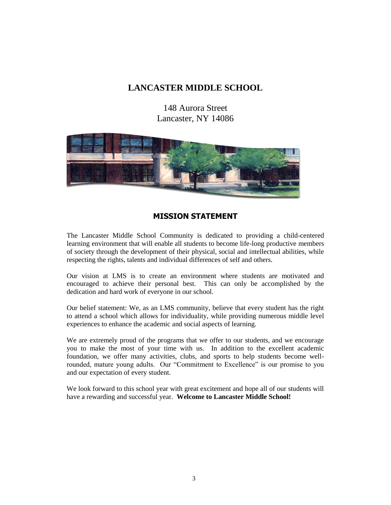## **LANCASTER MIDDLE SCHOOL**

148 Aurora Street Lancaster, NY 14086



## **MISSION STATEMENT**

The Lancaster Middle School Community is dedicated to providing a child-centered learning environment that will enable all students to become life-long productive members of society through the development of their physical, social and intellectual abilities, while respecting the rights, talents and individual differences of self and others.

Our vision at LMS is to create an environment where students are motivated and encouraged to achieve their personal best. This can only be accomplished by the dedication and hard work of everyone in our school.

Our belief statement: We, as an LMS community, believe that every student has the right to attend a school which allows for individuality, while providing numerous middle level experiences to enhance the academic and social aspects of learning.

We are extremely proud of the programs that we offer to our students, and we encourage you to make the most of your time with us. In addition to the excellent academic foundation, we offer many activities, clubs, and sports to help students become wellrounded, mature young adults. Our "Commitment to Excellence" is our promise to you and our expectation of every student.

We look forward to this school year with great excitement and hope all of our students will have a rewarding and successful year. **Welcome to Lancaster Middle School!**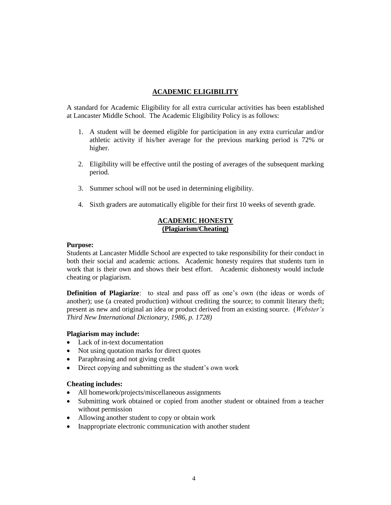## **ACADEMIC ELIGIBILITY**

A standard for Academic Eligibility for all extra curricular activities has been established at Lancaster Middle School. The Academic Eligibility Policy is as follows:

- 1. A student will be deemed eligible for participation in any extra curricular and/or athletic activity if his/her average for the previous marking period is 72% or higher.
- 2. Eligibility will be effective until the posting of averages of the subsequent marking period.
- 3. Summer school will not be used in determining eligibility.
- 4. Sixth graders are automatically eligible for their first 10 weeks of seventh grade.

## **ACADEMIC HONESTY (Plagiarism/Cheating)**

## **Purpose:**

Students at Lancaster Middle School are expected to take responsibility for their conduct in both their social and academic actions. Academic honesty requires that students turn in work that is their own and shows their best effort. Academic dishonesty would include cheating or plagiarism.

**Definition of Plagiarize**: to steal and pass off as one's own (the ideas or words of another); use (a created production) without crediting the source; to commit literary theft; present as new and original an idea or product derived from an existing source. (*Webster's Third New International Dictionary, 1986, p. 1728)*

## **Plagiarism may include:**

- Lack of in-text documentation
- Not using quotation marks for direct quotes
- Paraphrasing and not giving credit
- Direct copying and submitting as the student's own work

## **Cheating includes:**

- All homework/projects/miscellaneous assignments
- Submitting work obtained or copied from another student or obtained from a teacher without permission
- Allowing another student to copy or obtain work
- Inappropriate electronic communication with another student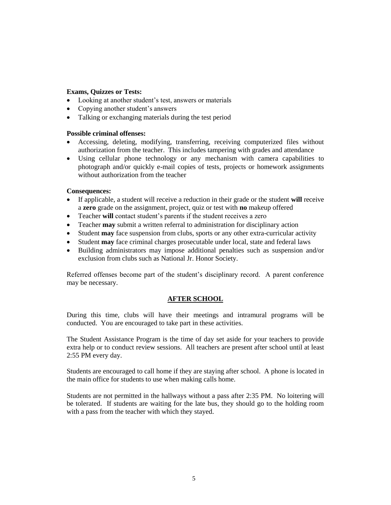## **Exams, Quizzes or Tests:**

- Looking at another student's test, answers or materials
- Copying another student's answers
- Talking or exchanging materials during the test period

## **Possible criminal offenses:**

- Accessing, deleting, modifying, transferring, receiving computerized files without authorization from the teacher. This includes tampering with grades and attendance
- Using cellular phone technology or any mechanism with camera capabilities to photograph and/or quickly e-mail copies of tests, projects or homework assignments without authorization from the teacher

## **Consequences:**

- If applicable, a student will receive a reduction in their grade or the student **will** receive a **zero** grade on the assignment, project, quiz or test with **no** makeup offered
- Teacher **will** contact student's parents if the student receives a zero
- Teacher **may** submit a written referral to administration for disciplinary action
- Student **may** face suspension from clubs, sports or any other extra-curricular activity
- Student **may** face criminal charges prosecutable under local, state and federal laws
- Building administrators may impose additional penalties such as suspension and/or exclusion from clubs such as National Jr. Honor Society.

Referred offenses become part of the student's disciplinary record. A parent conference may be necessary.

## **AFTER SCHOOL**

During this time, clubs will have their meetings and intramural programs will be conducted. You are encouraged to take part in these activities.

The Student Assistance Program is the time of day set aside for your teachers to provide extra help or to conduct review sessions. All teachers are present after school until at least 2:55 PM every day.

Students are encouraged to call home if they are staying after school. A phone is located in the main office for students to use when making calls home.

Students are not permitted in the hallways without a pass after 2:35 PM. No loitering will be tolerated. If students are waiting for the late bus, they should go to the holding room with a pass from the teacher with which they stayed.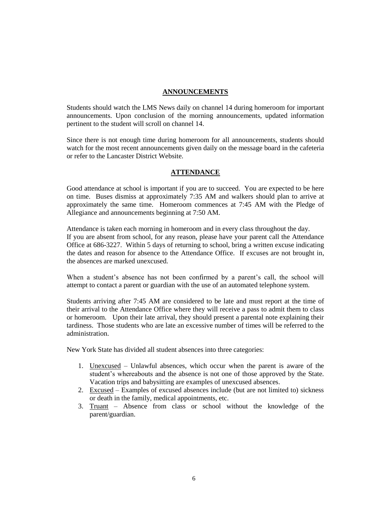## **ANNOUNCEMENTS**

Students should watch the LMS News daily on channel 14 during homeroom for important announcements. Upon conclusion of the morning announcements, updated information pertinent to the student will scroll on channel 14.

Since there is not enough time during homeroom for all announcements, students should watch for the most recent announcements given daily on the message board in the cafeteria or refer to the Lancaster District Website.

## **ATTENDANCE**

Good attendance at school is important if you are to succeed. You are expected to be here on time. Buses dismiss at approximately 7:35 AM and walkers should plan to arrive at approximately the same time. Homeroom commences at 7:45 AM with the Pledge of Allegiance and announcements beginning at 7:50 AM.

Attendance is taken each morning in homeroom and in every class throughout the day. If you are absent from school, for any reason, please have your parent call the Attendance Office at 686-3227. Within 5 days of returning to school, bring a written excuse indicating the dates and reason for absence to the Attendance Office. If excuses are not brought in, the absences are marked unexcused.

When a student's absence has not been confirmed by a parent's call, the school will attempt to contact a parent or guardian with the use of an automated telephone system.

Students arriving after 7:45 AM are considered to be late and must report at the time of their arrival to the Attendance Office where they will receive a pass to admit them to class or homeroom. Upon their late arrival, they should present a parental note explaining their tardiness. Those students who are late an excessive number of times will be referred to the administration.

New York State has divided all student absences into three categories:

- 1. Unexcused Unlawful absences, which occur when the parent is aware of the student's whereabouts and the absence is not one of those approved by the State. Vacation trips and babysitting are examples of unexcused absences.
- 2. Excused Examples of excused absences include (but are not limited to) sickness or death in the family, medical appointments, etc.
- 3. Truant Absence from class or school without the knowledge of the parent/guardian.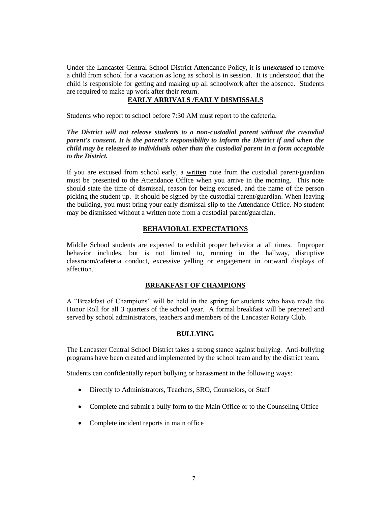Under the Lancaster Central School District Attendance Policy, it is *unexcused* to remove a child from school for a vacation as long as school is in session. It is understood that the child is responsible for getting and making up all schoolwork after the absence. Students are required to make up work after their return.

## **EARLY ARRIVALS /EARLY DISMISSALS**

Students who report to school before 7:30 AM must report to the cafeteria.

*The District will not release students to a non-custodial parent without the custodial parent's consent. It is the parent's responsibility to inform the District if and when the child may be released to individuals other than the custodial parent in a form acceptable to the District.*

If you are excused from school early, a written note from the custodial parent/guardian must be presented to the Attendance Office when you arrive in the morning. This note should state the time of dismissal, reason for being excused, and the name of the person picking the student up. It should be signed by the custodial parent/guardian. When leaving the building, you must bring your early dismissal slip to the Attendance Office. No student may be dismissed without a written note from a custodial parent/guardian.

## **BEHAVIORAL EXPECTATIONS**

Middle School students are expected to exhibit proper behavior at all times. Improper behavior includes, but is not limited to, running in the hallway, disruptive classroom/cafeteria conduct, excessive yelling or engagement in outward displays of affection.

## **BREAKFAST OF CHAMPIONS**

A "Breakfast of Champions" will be held in the spring for students who have made the Honor Roll for all 3 quarters of the school year. A formal breakfast will be prepared and served by school administrators, teachers and members of the Lancaster Rotary Club.

## **BULLYING**

The Lancaster Central School District takes a strong stance against bullying. Anti-bullying programs have been created and implemented by the school team and by the district team.

Students can confidentially report bullying or harassment in the following ways:

- Directly to Administrators, Teachers, SRO, Counselors, or Staff
- Complete and submit a bully form to the Main Office or to the Counseling Office
- Complete incident reports in main office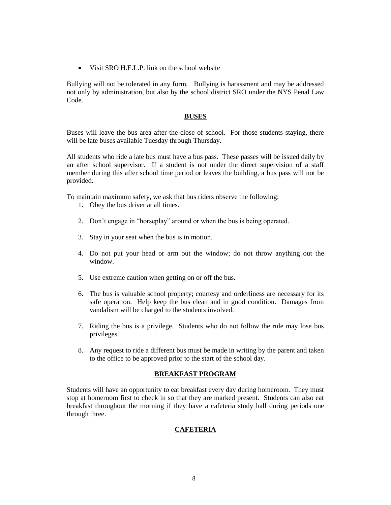• Visit SRO H.E.L.P. link on the school website

Bullying will not be tolerated in any form. Bullying is harassment and may be addressed not only by administration, but also by the school district SRO under the NYS Penal Law Code.

## **BUSES**

Buses will leave the bus area after the close of school. For those students staying, there will be late buses available Tuesday through Thursday.

All students who ride a late bus must have a bus pass. These passes will be issued daily by an after school supervisor. If a student is not under the direct supervision of a staff member during this after school time period or leaves the building, a bus pass will not be provided.

To maintain maximum safety, we ask that bus riders observe the following:

- 1. Obey the bus driver at all times.
- 2. Don't engage in "horseplay" around or when the bus is being operated.
- 3. Stay in your seat when the bus is in motion.
- 4. Do not put your head or arm out the window; do not throw anything out the window.
- 5. Use extreme caution when getting on or off the bus.
- 6. The bus is valuable school property; courtesy and orderliness are necessary for its safe operation. Help keep the bus clean and in good condition. Damages from vandalism will be charged to the students involved.
- 7. Riding the bus is a privilege. Students who do not follow the rule may lose bus privileges.
- 8. Any request to ride a different bus must be made in writing by the parent and taken to the office to be approved prior to the start of the school day.

## **BREAKFAST PROGRAM**

Students will have an opportunity to eat breakfast every day during homeroom. They must stop at homeroom first to check in so that they are marked present. Students can also eat breakfast throughout the morning if they have a cafeteria study hall during periods one through three.

## **CAFETERIA**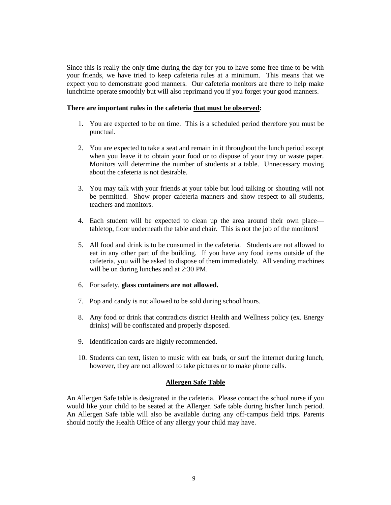Since this is really the only time during the day for you to have some free time to be with your friends, we have tried to keep cafeteria rules at a minimum. This means that we expect you to demonstrate good manners. Our cafeteria monitors are there to help make lunchtime operate smoothly but will also reprimand you if you forget your good manners.

## **There are important rules in the cafeteria that must be observed:**

- 1. You are expected to be on time. This is a scheduled period therefore you must be punctual.
- 2. You are expected to take a seat and remain in it throughout the lunch period except when you leave it to obtain your food or to dispose of your tray or waste paper. Monitors will determine the number of students at a table. Unnecessary moving about the cafeteria is not desirable.
- 3. You may talk with your friends at your table but loud talking or shouting will not be permitted. Show proper cafeteria manners and show respect to all students, teachers and monitors.
- 4. Each student will be expected to clean up the area around their own place tabletop, floor underneath the table and chair. This is not the job of the monitors!
- 5. All food and drink is to be consumed in the cafeteria. Students are not allowed to eat in any other part of the building. If you have any food items outside of the cafeteria, you will be asked to dispose of them immediately. All vending machines will be on during lunches and at 2:30 PM.
- 6. For safety, **glass containers are not allowed.**
- 7. Pop and candy is not allowed to be sold during school hours.
- 8. Any food or drink that contradicts district Health and Wellness policy (ex. Energy drinks) will be confiscated and properly disposed.
- 9. Identification cards are highly recommended.
- 10. Students can text, listen to music with ear buds, or surf the internet during lunch, however, they are not allowed to take pictures or to make phone calls.

## **Allergen Safe Table**

An Allergen Safe table is designated in the cafeteria. Please contact the school nurse if you would like your child to be seated at the Allergen Safe table during his/her lunch period. An Allergen Safe table will also be available during any off-campus field trips. Parents should notify the Health Office of any allergy your child may have.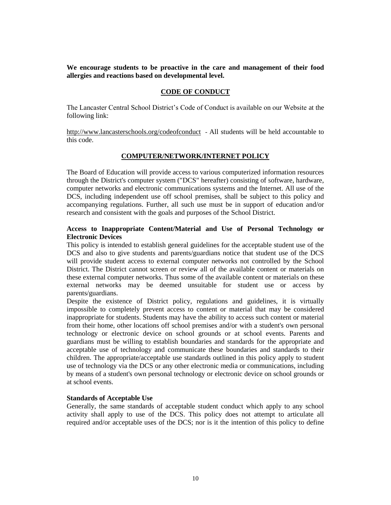**We encourage students to be proactive in the care and management of their food allergies and reactions based on developmental level.**

## **CODE OF CONDUCT**

The Lancaster Central School District's Code of Conduct is available on our Website at the following link:

<http://www.lancasterschools.org/codeofconduct> - All students will be held accountable to this code.

## **COMPUTER/NETWORK/INTERNET POLICY**

The Board of Education will provide access to various computerized information resources through the District's computer system ("DCS" hereafter) consisting of software, hardware, computer networks and electronic communications systems and the Internet. All use of the DCS, including independent use off school premises, shall be subject to this policy and accompanying regulations. Further, all such use must be in support of education and/or research and consistent with the goals and purposes of the School District.

## **Access to Inappropriate Content/Material and Use of Personal Technology or Electronic Devices**

This policy is intended to establish general guidelines for the acceptable student use of the DCS and also to give students and parents/guardians notice that student use of the DCS will provide student access to external computer networks not controlled by the School District. The District cannot screen or review all of the available content or materials on these external computer networks. Thus some of the available content or materials on these external networks may be deemed unsuitable for student use or access by parents/guardians.

Despite the existence of District policy, regulations and guidelines, it is virtually impossible to completely prevent access to content or material that may be considered inappropriate for students. Students may have the ability to access such content or material from their home, other locations off school premises and/or with a student's own personal technology or electronic device on school grounds or at school events. Parents and guardians must be willing to establish boundaries and standards for the appropriate and acceptable use of technology and communicate these boundaries and standards to their children. The appropriate/acceptable use standards outlined in this policy apply to student use of technology via the DCS or any other electronic media or communications, including by means of a student's own personal technology or electronic device on school grounds or at school events.

## **Standards of Acceptable Use**

Generally, the same standards of acceptable student conduct which apply to any school activity shall apply to use of the DCS. This policy does not attempt to articulate all required and/or acceptable uses of the DCS; nor is it the intention of this policy to define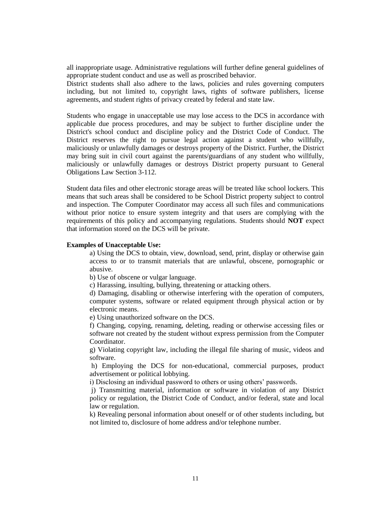all inappropriate usage. Administrative regulations will further define general guidelines of appropriate student conduct and use as well as proscribed behavior.

District students shall also adhere to the laws, policies and rules governing computers including, but not limited to, copyright laws, rights of software publishers, license agreements, and student rights of privacy created by federal and state law.

Students who engage in unacceptable use may lose access to the DCS in accordance with applicable due process procedures, and may be subject to further discipline under the District's school conduct and discipline policy and the District Code of Conduct. The District reserves the right to pursue legal action against a student who willfully, maliciously or unlawfully damages or destroys property of the District. Further, the District may bring suit in civil court against the parents/guardians of any student who willfully, maliciously or unlawfully damages or destroys District property pursuant to General Obligations Law Section 3-112.

Student data files and other electronic storage areas will be treated like school lockers. This means that such areas shall be considered to be School District property subject to control and inspection. The Computer Coordinator may access all such files and communications without prior notice to ensure system integrity and that users are complying with the requirements of this policy and accompanying regulations. Students should **NOT** expect that information stored on the DCS will be private.

#### **Examples of Unacceptable Use:**

a) Using the DCS to obtain, view, download, send, print, display or otherwise gain access to or to transmit materials that are unlawful, obscene, pornographic or abusive.

b) Use of obscene or vulgar language.

c) Harassing, insulting, bullying, threatening or attacking others.

d) Damaging, disabling or otherwise interfering with the operation of computers, computer systems, software or related equipment through physical action or by electronic means.

e) Using unauthorized software on the DCS.

f) Changing, copying, renaming, deleting, reading or otherwise accessing files or software not created by the student without express permission from the Computer Coordinator.

g) Violating copyright law, including the illegal file sharing of music, videos and software.

h) Employing the DCS for non-educational, commercial purposes, product advertisement or political lobbying.

i) Disclosing an individual password to others or using others' passwords.

j) Transmitting material, information or software in violation of any District policy or regulation, the District Code of Conduct, and/or federal, state and local law or regulation.

k) Revealing personal information about oneself or of other students including, but not limited to, disclosure of home address and/or telephone number.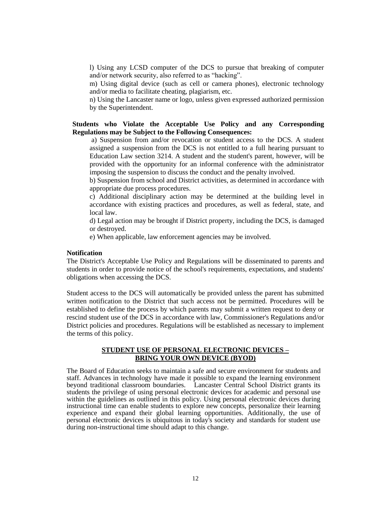l) Using any LCSD computer of the DCS to pursue that breaking of computer and/or network security, also referred to as "hacking".

m) Using digital device (such as cell or camera phones), electronic technology and/or media to facilitate cheating, plagiarism, etc.

n) Using the Lancaster name or logo, unless given expressed authorized permission by the Superintendent.

## **Students who Violate the Acceptable Use Policy and any Corresponding Regulations may be Subject to the Following Consequences:**

a) Suspension from and/or revocation or student access to the DCS. A student assigned a suspension from the DCS is not entitled to a full hearing pursuant to Education Law section 3214. A student and the student's parent, however, will be provided with the opportunity for an informal conference with the administrator imposing the suspension to discuss the conduct and the penalty involved.

b) Suspension from school and District activities, as determined in accordance with appropriate due process procedures.

c) Additional disciplinary action may be determined at the building level in accordance with existing practices and procedures, as well as federal, state, and local law.

d) Legal action may be brought if District property, including the DCS, is damaged or destroyed.

e) When applicable, law enforcement agencies may be involved.

#### **Notification**

The District's Acceptable Use Policy and Regulations will be disseminated to parents and students in order to provide notice of the school's requirements, expectations, and students' obligations when accessing the DCS.

Student access to the DCS will automatically be provided unless the parent has submitted written notification to the District that such access not be permitted. Procedures will be established to define the process by which parents may submit a written request to deny or rescind student use of the DCS in accordance with law, Commissioner's Regulations and/or District policies and procedures. Regulations will be established as necessary to implement the terms of this policy.

## **STUDENT USE OF PERSONAL ELECTRONIC DEVICES – BRING YOUR OWN DEVICE (BYOD)**

The Board of Education seeks to maintain a safe and secure environment for students and staff. Advances in technology have made it possible to expand the learning environment beyond traditional classroom boundaries. Lancaster Central School District grants its students the privilege of using personal electronic devices for academic and personal use within the guidelines as outlined in this policy. Using personal electronic devices during instructional time can enable students to explore new concepts, personalize their learning experience and expand their global learning opportunities. Additionally, the use of personal electronic devices is ubiquitous in today's society and standards for student use during non-instructional time should adapt to this change.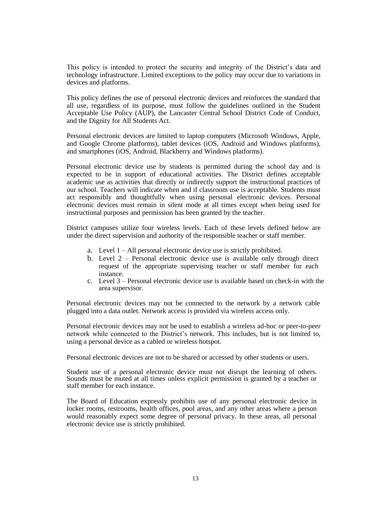This policy is intended to protect the security and integrity of the District's data and technology infrastructure. Limited exceptions to the policy may occur due to variations in devices and platforms.

This policy defines the use of personal electronic devices and reinforces the standard that all use, regardless of its purpose, must follow the guidelines outlined in the Student Acceptable Use Policy (AUP), the Lancaster Central School District Code of Conduct, and the Dignity for All Students Act.

Personal electronic devices are limited to laptop computers (Microsoft Windows, Apple, and Google Chrome platforms), tablet devices (iOS, Android and Windows platforms), and smartphones (iOS, Android, Blackberry and Windows platforms).

Personal electronic device use by students is permitted during the school day and is expected to be in support of educational activities. The District defines acceptable academic use as activities that directly or indirectly support the instructional practices of our school. Teachers will indicate when and if classroom use is acceptable. Students must act responsibly and thoughtfully when using personal electronic devices. Personal electronic devices must remain in silent mode at all times except when being used for instructional purposes and permission has been granted by the teacher.

District campuses utilize four wireless levels. Each of these levels defined below are under the direct supervision and authority of the responsible teacher or staff member.

- a. Level 1 All personal electronic device use is strictly prohibited.
- b. Level 2 Personal electronic device use is available only through direct request of the appropriate supervising teacher or staff member for each instance.
- c. Level 3 Personal electronic device use is available based on check-in with the area supervisor.

Personal electronic devices may not be connected to the network by a network cable plugged into a data outlet. Network access is provided via wireless access only.

Personal electronic devices may not be used to establish a wireless ad-hoc or peer-to-peer network while connected to the District's network. This includes, but is not limited to, using a personal device as a cabled or wireless hotspot.

Personal electronic devices are not to be shared or accessed by other students or users.

Student use of a personal electronic device must not disrupt the learning of others. Sounds must be muted at all times unless explicit permission is granted by a teacher or staff member for each instance.

The Board of Education expressly prohibits use of any personal electronic device in locker rooms, restrooms, health offices, pool areas, and any other areas where a person would reasonably expect some degree of personal privacy. In these areas, all personal electronic device use is strictly prohibited.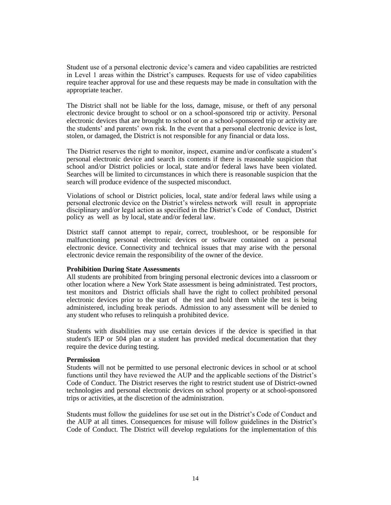Student use of a personal electronic device's camera and video capabilities are restricted in Level 1 areas within the District's campuses. Requests for use of video capabilities require teacher approval for use and these requests may be made in consultation with the appropriate teacher.

The District shall not be liable for the loss, damage, misuse, or theft of any personal electronic device brought to school or on a school-sponsored trip or activity. Personal electronic devices that are brought to school or on a school-sponsored trip or activity are the students' and parents' own risk. In the event that a personal electronic device is lost, stolen, or damaged, the District is not responsible for any financial or data loss.

The District reserves the right to monitor, inspect, examine and/or confiscate a student's personal electronic device and search its contents if there is reasonable suspicion that school and/or District policies or local, state and/or federal laws have been violated. Searches will be limited to circumstances in which there is reasonable suspicion that the search will produce evidence of the suspected misconduct.

Violations of school or District policies, local, state and/or federal laws while using a personal electronic device on the District's wireless network will result in appropriate disciplinary and/or legal action as specified in the District's Code of Conduct, District policy as well as by local, state and/or federal law.

District staff cannot attempt to repair, correct, troubleshoot, or be responsible for malfunctioning personal electronic devices or software contained on a personal electronic device. Connectivity and technical issues that may arise with the personal electronic device remain the responsibility of the owner of the device.

## **Prohibition During State Assessments**

All students are prohibited from bringing personal electronic devices into a classroom or other location where a New York State assessment is being administrated. Test proctors, test monitors and District officials shall have the right to collect prohibited personal electronic devices prior to the start of the test and hold them while the test is being administered, including break periods. Admission to any assessment will be denied to any student who refuses to relinquish a prohibited device.

Students with disabilities may use certain devices if the device is specified in that student's IEP or 504 plan or a student has provided medical documentation that they require the device during testing.

#### **Permission**

Students will not be permitted to use personal electronic devices in school or at school functions until they have reviewed the AUP and the applicable sections of the District's Code of Conduct. The District reserves the right to restrict student use of District-owned technologies and personal electronic devices on school property or at school-sponsored trips or activities, at the discretion of the administration.

Students must follow the guidelines for use set out in the District's Code of Conduct and the AUP at all times. Consequences for misuse will follow guidelines in the District's Code of Conduct. The District will develop regulations for the implementation of this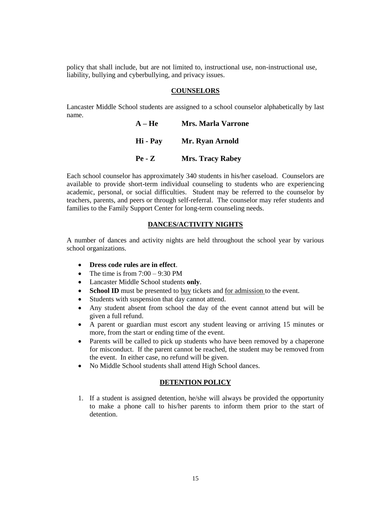policy that shall include, but are not limited to, instructional use, non-instructional use, liability, bullying and cyberbullying, and privacy issues.

#### **COUNSELORS**

Lancaster Middle School students are assigned to a school counselor alphabetically by last name. **A – He Mrs. Marla Varrone**

| $A - He$ | Mrs. Marla Varrone      |
|----------|-------------------------|
| Hi - Pay | Mr. Ryan Arnold         |
| $Pe - Z$ | <b>Mrs. Tracy Rabey</b> |

Each school counselor has approximately 340 students in his/her caseload. Counselors are available to provide short-term individual counseling to students who are experiencing academic, personal, or social difficulties. Student may be referred to the counselor by teachers, parents, and peers or through self-referral. The counselor may refer students and families to the Family Support Center for long-term counseling needs.

## **DANCES/ACTIVITY NIGHTS**

A number of dances and activity nights are held throughout the school year by various school organizations.

- **Dress code rules are in effect**.
- The time is from  $7:00 9:30$  PM
- Lancaster Middle School students **only**.
- **School ID** must be presented to buy tickets and <u>for admission</u> to the event.
- Students with suspension that day cannot attend.
- Any student absent from school the day of the event cannot attend but will be given a full refund.
- A parent or guardian must escort any student leaving or arriving 15 minutes or more, from the start or ending time of the event.
- Parents will be called to pick up students who have been removed by a chaperone for misconduct. If the parent cannot be reached, the student may be removed from the event. In either case, no refund will be given.
- No Middle School students shall attend High School dances.

## **DETENTION POLICY**

1. If a student is assigned detention, he/she will always be provided the opportunity to make a phone call to his/her parents to inform them prior to the start of detention.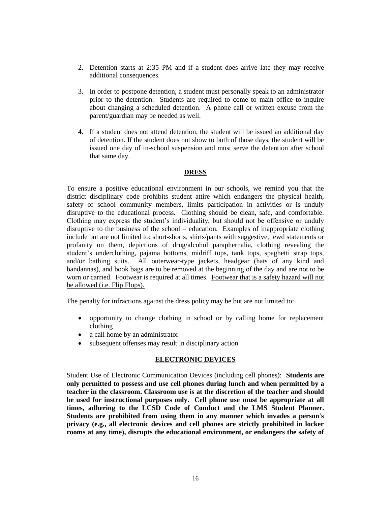- 2. Detention starts at 2:35 PM and if a student does arrive late they may receive additional consequences.
- 3. In order to postpone detention, a student must personally speak to an administrator prior to the detention. Students are required to come to main office to inquire about changing a scheduled detention. A phone call or written excuse from the parent/guardian may be needed as well.
- **4.** If a student does not attend detention, the student will be issued an additional day of detention. If the student does not show to both of those days, the student will be issued one day of in-school suspension and must serve the detention after school that same day.

## **DRESS**

To ensure a positive educational environment in our schools, we remind you that the district disciplinary code prohibits student attire which endangers the physical health, safety of school community members, limits participation in activities or is unduly disruptive to the educational process. Clothing should be clean, safe, and comfortable. Clothing may express the student's individuality, but should not be offensive or unduly disruptive to the business of the school – education. Examples of inappropriate clothing include but are not limited to: short-shorts, shirts/pants with suggestive, lewd statements or profanity on them, depictions of drug/alcohol paraphernalia, clothing revealing the student's underclothing, pajama bottoms, midriff tops, tank tops, spaghetti strap tops, and/or bathing suits. All outerwear-type jackets, headgear (hats of any kind and bandannas), and book bags are to be removed at the beginning of the day and are not to be worn or carried. Footwear is required at all times. Footwear that is a safety hazard will not be allowed (i.e. Flip Flops).

The penalty for infractions against the dress policy may be but are not limited to:

- opportunity to change clothing in school or by calling home for replacement clothing
- a call home by an administrator
- subsequent offenses may result in disciplinary action

## **ELECTRONIC DEVICES**

Student Use of Electronic Communication Devices (including cell phones): **Students are only permitted to possess and use cell phones during lunch and when permitted by a teacher in the classroom. Classroom use is at the discretion of the teacher and should be used for instructional purposes only. Cell phone use must be appropriate at all times, adhering to the LCSD Code of Conduct and the LMS Student Planner. Students are prohibited from using them in any manner which invades a person's privacy (e.g., all electronic devices and cell phones are strictly prohibited in locker rooms at any time), disrupts the educational environment, or endangers the safety of**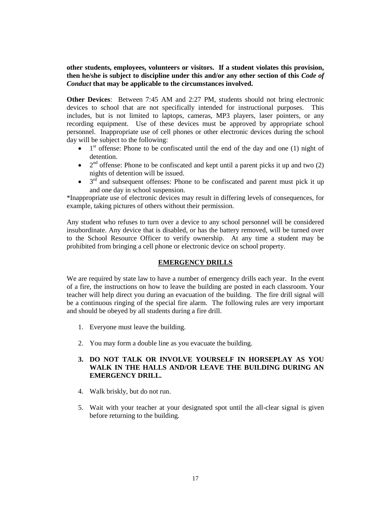**other students, employees, volunteers or visitors. If a student violates this provision, then he/she is subject to discipline under this and/or any other section of this** *Code of Conduct* **that may be applicable to the circumstances involved.**

**Other Devices**: Between 7:45 AM and 2:27 PM, students should not bring electronic devices to school that are not specifically intended for instructional purposes. This includes, but is not limited to laptops, cameras, MP3 players, laser pointers, or any recording equipment. Use of these devices must be approved by appropriate school personnel. Inappropriate use of cell phones or other electronic devices during the school day will be subject to the following:

- $\bullet$  1<sup>st</sup> offense: Phone to be confiscated until the end of the day and one (1) night of detention.
- $\bullet$  2<sup>nd</sup> offense: Phone to be confiscated and kept until a parent picks it up and two (2) nights of detention will be issued.
- $\bullet$  3<sup>rd</sup> and subsequent offenses: Phone to be confiscated and parent must pick it up and one day in school suspension.

\*Inappropriate use of electronic devices may result in differing levels of consequences, for example, taking pictures of others without their permission.

Any student who refuses to turn over a device to any school personnel will be considered insubordinate. Any device that is disabled, or has the battery removed, will be turned over to the School Resource Officer to verify ownership. At any time a student may be prohibited from bringing a cell phone or electronic device on school property.

## **EMERGENCY DRILLS**

We are required by state law to have a number of emergency drills each year. In the event of a fire, the instructions on how to leave the building are posted in each classroom. Your teacher will help direct you during an evacuation of the building. The fire drill signal will be a continuous ringing of the special fire alarm. The following rules are very important and should be obeyed by all students during a fire drill.

- 1. Everyone must leave the building.
- 2. You may form a double line as you evacuate the building.

## **3. DO NOT TALK OR INVOLVE YOURSELF IN HORSEPLAY AS YOU WALK IN THE HALLS AND/OR LEAVE THE BUILDING DURING AN EMERGENCY DRILL.**

- 4. Walk briskly, but do not run.
- 5. Wait with your teacher at your designated spot until the all-clear signal is given before returning to the building.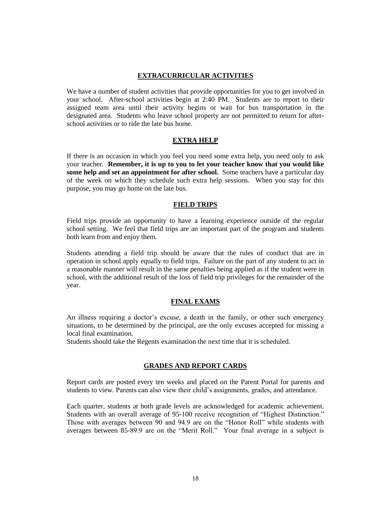## **EXTRACURRICULAR ACTIVITIES**

We have a number of student activities that provide opportunities for you to get involved in your school. After-school activities begin at 2:40 PM. Students are to report to their assigned team area until their activity begins or wait for bus transportation in the designated area. Students who leave school property are not permitted to return for afterschool activities or to ride the late bus home.

## **EXTRA HELP**

If there is an occasion in which you feel you need some extra help, you need only to ask your teacher. **Remember, it is up to you to let your teacher know that you would like some help and set an appointment for after school.** Some teachers have a particular day of the week on which they schedule such extra help sessions. When you stay for this purpose, you may go home on the late bus.

## **FIELD TRIPS**

Field trips provide an opportunity to have a learning experience outside of the regular school setting. We feel that field trips are an important part of the program and students both learn from and enjoy them.

Students attending a field trip should be aware that the rules of conduct that are in operation in school apply equally to field trips. Failure on the part of any student to act in a reasonable manner will result in the same penalties being applied as if the student were in school, with the additional result of the loss of field trip privileges for the remainder of the year.

## **FINAL EXAMS**

An illness requiring a doctor's excuse, a death in the family, or other such emergency situations, to be determined by the principal, are the only excuses accepted for missing a local final examination.

Students should take the Regents examination the next time that it is scheduled.

## **GRADES AND REPORT CARDS**

Report cards are posted every ten weeks and placed on the Parent Portal for parents and students to view. Parents can also view their child's assignments, grades, and attendance.

Each quarter, students at both grade levels are acknowledged for academic achievement. Students with an overall average of 95-100 receive recognition of "Highest Distinction." Those with averages between 90 and 94.9 are on the "Honor Roll" while students with averages between 85-89.9 are on the "Merit Roll." Your final average in a subject is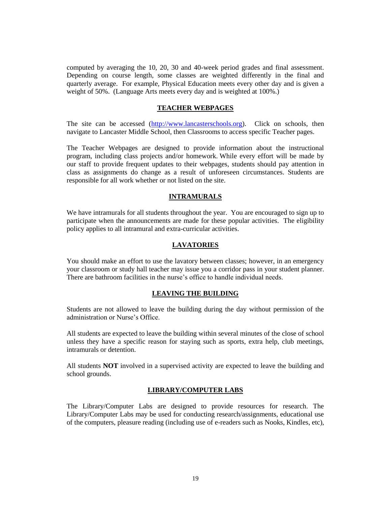computed by averaging the 10, 20, 30 and 40-week period grades and final assessment. Depending on course length, some classes are weighted differently in the final and quarterly average. For example, Physical Education meets every other day and is given a weight of 50%. (Language Arts meets every day and is weighted at 100%.)

#### **TEACHER WEBPAGES**

The site can be accessed [\(http://www.lancasterschools.org\)](http://www.lancasterschools.org/). Click on schools, then navigate to Lancaster Middle School, then Classrooms to access specific Teacher pages.

The Teacher Webpages are designed to provide information about the instructional program, including class projects and/or homework. While every effort will be made by our staff to provide frequent updates to their webpages, students should pay attention in class as assignments do change as a result of unforeseen circumstances. Students are responsible for all work whether or not listed on the site.

## **INTRAMURALS**

We have intramurals for all students throughout the year. You are encouraged to sign up to participate when the announcements are made for these popular activities. The eligibility policy applies to all intramural and extra-curricular activities.

## **LAVATORIES**

You should make an effort to use the lavatory between classes; however, in an emergency your classroom or study hall teacher may issue you a corridor pass in your student planner. There are bathroom facilities in the nurse's office to handle individual needs.

## **LEAVING THE BUILDING**

Students are not allowed to leave the building during the day without permission of the administration or Nurse's Office.

All students are expected to leave the building within several minutes of the close of school unless they have a specific reason for staying such as sports, extra help, club meetings, intramurals or detention.

All students **NOT** involved in a supervised activity are expected to leave the building and school grounds.

## **LIBRARY/COMPUTER LABS**

The Library/Computer Labs are designed to provide resources for research. The Library/Computer Labs may be used for conducting research/assignments, educational use of the computers, pleasure reading (including use of e-readers such as Nooks, Kindles, etc),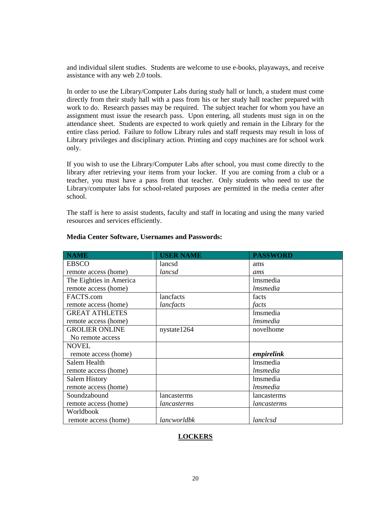and individual silent studies. Students are welcome to use e-books, playaways, and receive assistance with any web 2.0 tools.

In order to use the Library/Computer Labs during study hall or lunch, a student must come directly from their study hall with a pass from his or her study hall teacher prepared with work to do. Research passes may be required. The subject teacher for whom you have an assignment must issue the research pass. Upon entering, all students must sign in on the attendance sheet. Students are expected to work quietly and remain in the Library for the entire class period. Failure to follow Library rules and staff requests may result in loss of Library privileges and disciplinary action. Printing and copy machines are for school work only.

If you wish to use the Library/Computer Labs after school, you must come directly to the library after retrieving your items from your locker. If you are coming from a club or a teacher, you must have a pass from that teacher. Only students who need to use the Library/computer labs for school-related purposes are permitted in the media center after school.

The staff is here to assist students, faculty and staff in locating and using the many varied resources and services efficiently.

| <b>NAME</b>             | <b>USER NAME</b> | <b>PASSWORD</b> |
|-------------------------|------------------|-----------------|
| <b>EBSCO</b>            | lancsd           | ams             |
| remote access (home)    | lancsd           | ams             |
| The Eighties in America |                  | <i>lmsmedia</i> |
| remote access (home)    |                  | lmsmedia        |
| FACTS.com               | lancfacts        | facts           |
| remote access (home)    | lancfacts        | facts           |
| <b>GREAT ATHLETES</b>   |                  | <i>lmsmedia</i> |
| remote access (home)    |                  | <i>lmsmedia</i> |
| <b>GROLIER ONLINE</b>   | nystate 1264     | novelhome       |
| No remote access        |                  |                 |
| NOVEL.                  |                  |                 |
| remote access (home)    |                  | empirelink      |
| Salem Health            |                  | <i>lmsmedia</i> |
| remote access (home)    |                  | <i>lmsmedia</i> |
| <b>Salem History</b>    |                  | <i>Imsmedia</i> |
| remote access (home)    |                  | <i>lmsmedia</i> |
| Soundzabound            | lancasterms      | lancasterms     |
| remote access (home)    | lancasterms      | lancasterms     |
| Worldbook               |                  |                 |
| remote access (home)    | lancworldbk      | lanclcsd        |

## **Media Center Software, Usernames and Passwords:**

## **LOCKERS**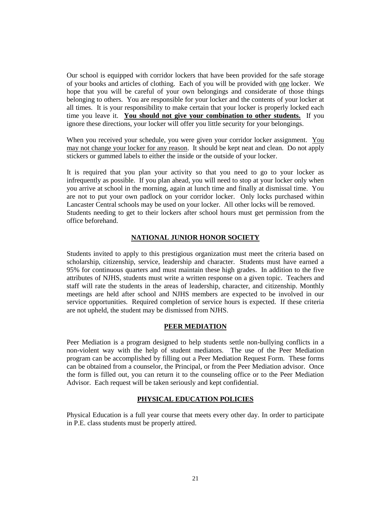Our school is equipped with corridor lockers that have been provided for the safe storage of your books and articles of clothing. Each of you will be provided with one locker. We hope that you will be careful of your own belongings and considerate of those things belonging to others. You are responsible for your locker and the contents of your locker at all times. It is your responsibility to make certain that your locker is properly locked each time you leave it. **You should not give your combination to other students.** If you ignore these directions, your locker will offer you little security for your belongings.

When you received your schedule, you were given your corridor locker assignment. You may not change your locker for any reason. It should be kept neat and clean. Do not apply stickers or gummed labels to either the inside or the outside of your locker.

It is required that you plan your activity so that you need to go to your locker as infrequently as possible. If you plan ahead, you will need to stop at your locker only when you arrive at school in the morning, again at lunch time and finally at dismissal time. You are not to put your own padlock on your corridor locker. Only locks purchased within Lancaster Central schools may be used on your locker. All other locks will be removed. Students needing to get to their lockers after school hours must get permission from the office beforehand.

## **NATIONAL JUNIOR HONOR SOCIETY**

Students invited to apply to this prestigious organization must meet the criteria based on scholarship, citizenship, service, leadership and character. Students must have earned a 95% for continuous quarters and must maintain these high grades. In addition to the five attributes of NJHS, students must write a written response on a given topic. Teachers and staff will rate the students in the areas of leadership, character, and citizenship. Monthly meetings are held after school and NJHS members are expected to be involved in our service opportunities. Required completion of service hours is expected. If these criteria are not upheld, the student may be dismissed from NJHS.

## **PEER MEDIATION**

Peer Mediation is a program designed to help students settle non-bullying conflicts in a non-violent way with the help of student mediators. The use of the Peer Mediation program can be accomplished by filling out a Peer Mediation Request Form. These forms can be obtained from a counselor, the Principal, or from the Peer Mediation advisor. Once the form is filled out, you can return it to the counseling office or to the Peer Mediation Advisor. Each request will be taken seriously and kept confidential.

## **PHYSICAL EDUCATION POLICIES**

Physical Education is a full year course that meets every other day. In order to participate in P.E. class students must be properly attired.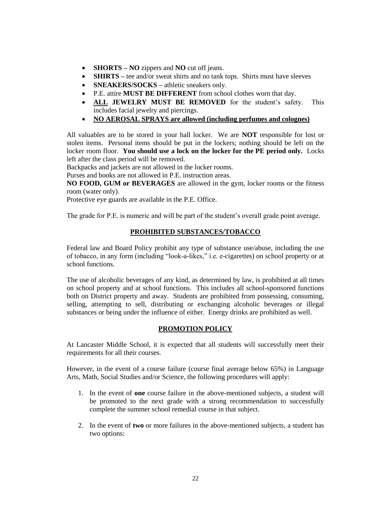- **SHORTS NO** zippers and **NO** cut off jeans.
- **SHIRTS** tee and/or sweat shirts and no tank tops. Shirts must have sleeves
- **SNEAKERS/SOCKS** athletic sneakers only.
- P.E. attire **MUST BE DIFFERENT** from school clothes worn that day.
- **ALL JEWELRY MUST BE REMOVED** for the student's safety. This includes facial jewelry and piercings.
- **NO AEROSAL SPRAYS are allowed (including perfumes and colognes)**

All valuables are to be stored in your hall locker. We are **NOT** responsible for lost or stolen items. Personal items should be put in the lockers; nothing should be left on the locker room floor. **You should use a lock on the locker for the PE period only.** Locks left after the class period will be removed.

Backpacks and jackets are not allowed in the locker rooms.

Purses and books are not allowed in P.E. instruction areas.

**NO FOOD, GUM or BEVERAGES** are allowed in the gym, locker rooms or the fitness room (water only).

Protective eye guards are available in the P.E. Office.

The grade for P.E. is numeric and will be part of the student's overall grade point average.

## **PROHIBITED SUBSTANCES/TOBACCO**

Federal law and Board Policy prohibit any type of substance use/abuse, including the use of tobacco, in any form (including "look-a-likes," i.e. e-cigarettes) on school property or at school functions.

The use of alcoholic beverages of any kind, as determined by law, is prohibited at all times on school property and at school functions. This includes all school-sponsored functions both on District property and away. Students are prohibited from possessing, consuming, selling, attempting to sell, distributing or exchanging alcoholic beverages or illegal substances or being under the influence of either. Energy drinks are prohibited as well.

## **PROMOTION POLICY**

At Lancaster Middle School, it is expected that all students will successfully meet their requirements for all their courses.

However, in the event of a course failure (course final average below 65%) in Language Arts, Math, Social Studies and/or Science, the following procedures will apply:

- 1. In the event of **one** course failure in the above-mentioned subjects, a student will be promoted to the next grade with a strong recommendation to successfully complete the summer school remedial course in that subject.
- 2. In the event of **two** or more failures in the above-mentioned subjects, a student has two options: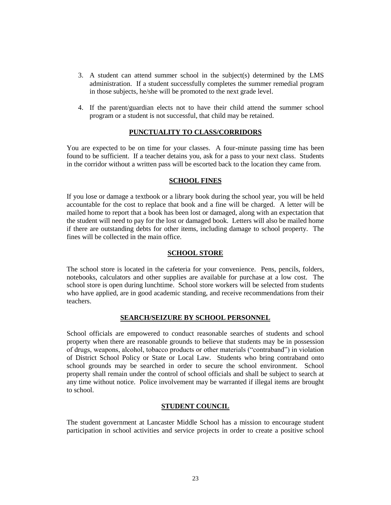- 3. A student can attend summer school in the subject(s) determined by the LMS administration. If a student successfully completes the summer remedial program in those subjects, he/she will be promoted to the next grade level.
- 4. If the parent/guardian elects not to have their child attend the summer school program or a student is not successful, that child may be retained.

## **PUNCTUALITY TO CLASS/CORRIDORS**

You are expected to be on time for your classes. A four-minute passing time has been found to be sufficient. If a teacher detains you, ask for a pass to your next class. Students in the corridor without a written pass will be escorted back to the location they came from.

## **SCHOOL FINES**

If you lose or damage a textbook or a library book during the school year, you will be held accountable for the cost to replace that book and a fine will be charged. A letter will be mailed home to report that a book has been lost or damaged, along with an expectation that the student will need to pay for the lost or damaged book. Letters will also be mailed home if there are outstanding debts for other items, including damage to school property. The fines will be collected in the main office.

#### **SCHOOL STORE**

The school store is located in the cafeteria for your convenience. Pens, pencils, folders, notebooks, calculators and other supplies are available for purchase at a low cost. The school store is open during lunchtime. School store workers will be selected from students who have applied, are in good academic standing, and receive recommendations from their teachers.

## **SEARCH/SEIZURE BY SCHOOL PERSONNEL**

School officials are empowered to conduct reasonable searches of students and school property when there are reasonable grounds to believe that students may be in possession of drugs, weapons, alcohol, tobacco products or other materials ("contraband") in violation of District School Policy or State or Local Law. Students who bring contraband onto school grounds may be searched in order to secure the school environment. School property shall remain under the control of school officials and shall be subject to search at any time without notice. Police involvement may be warranted if illegal items are brought to school.

#### **STUDENT COUNCIL**

The student government at Lancaster Middle School has a mission to encourage student participation in school activities and service projects in order to create a positive school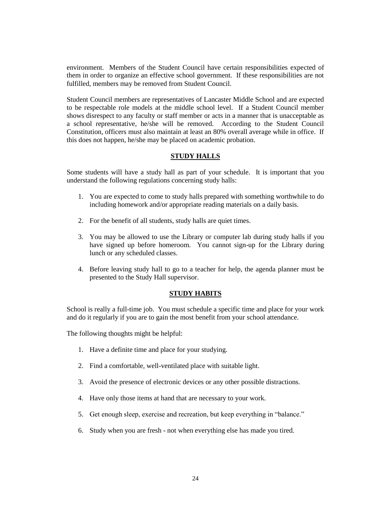environment. Members of the Student Council have certain responsibilities expected of them in order to organize an effective school government. If these responsibilities are not fulfilled, members may be removed from Student Council.

Student Council members are representatives of Lancaster Middle School and are expected to be respectable role models at the middle school level. If a Student Council member shows disrespect to any faculty or staff member or acts in a manner that is unacceptable as a school representative, he/she will be removed. According to the Student Council Constitution, officers must also maintain at least an 80% overall average while in office. If this does not happen, he/she may be placed on academic probation.

## **STUDY HALLS**

Some students will have a study hall as part of your schedule. It is important that you understand the following regulations concerning study halls:

- 1. You are expected to come to study halls prepared with something worthwhile to do including homework and/or appropriate reading materials on a daily basis.
- 2. For the benefit of all students, study halls are quiet times.
- 3. You may be allowed to use the Library or computer lab during study halls if you have signed up before homeroom. You cannot sign-up for the Library during lunch or any scheduled classes.
- 4. Before leaving study hall to go to a teacher for help, the agenda planner must be presented to the Study Hall supervisor.

## **STUDY HABITS**

School is really a full-time job. You must schedule a specific time and place for your work and do it regularly if you are to gain the most benefit from your school attendance.

The following thoughts might be helpful:

- 1. Have a definite time and place for your studying.
- 2. Find a comfortable, well-ventilated place with suitable light.
- 3. Avoid the presence of electronic devices or any other possible distractions.
- 4. Have only those items at hand that are necessary to your work.
- 5. Get enough sleep, exercise and recreation, but keep everything in "balance."
- 6. Study when you are fresh not when everything else has made you tired.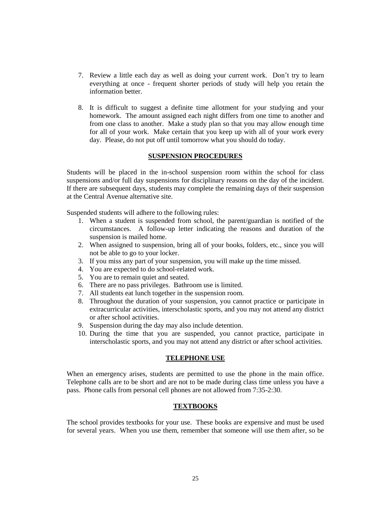- 7. Review a little each day as well as doing your current work. Don't try to learn everything at once - frequent shorter periods of study will help you retain the information better.
- 8. It is difficult to suggest a definite time allotment for your studying and your homework. The amount assigned each night differs from one time to another and from one class to another. Make a study plan so that you may allow enough time for all of your work. Make certain that you keep up with all of your work every day. Please, do not put off until tomorrow what you should do today.

#### **SUSPENSION PROCEDURES**

Students will be placed in the in-school suspension room within the school for class suspensions and/or full day suspensions for disciplinary reasons on the day of the incident. If there are subsequent days, students may complete the remaining days of their suspension at the Central Avenue alternative site.

Suspended students will adhere to the following rules:

- 1. When a student is suspended from school, the parent/guardian is notified of the circumstances. A follow-up letter indicating the reasons and duration of the suspension is mailed home.
- 2. When assigned to suspension, bring all of your books, folders, etc., since you will not be able to go to your locker.
- 3. If you miss any part of your suspension, you will make up the time missed.
- 4. You are expected to do school-related work.
- 5. You are to remain quiet and seated.
- 6. There are no pass privileges. Bathroom use is limited.
- 7. All students eat lunch together in the suspension room.
- 8. Throughout the duration of your suspension, you cannot practice or participate in extracurricular activities, interscholastic sports, and you may not attend any district or after school activities.
- 9. Suspension during the day may also include detention.
- 10. During the time that you are suspended, you cannot practice, participate in interscholastic sports, and you may not attend any district or after school activities.

## **TELEPHONE USE**

When an emergency arises, students are permitted to use the phone in the main office. Telephone calls are to be short and are not to be made during class time unless you have a pass. Phone calls from personal cell phones are not allowed from 7:35-2:30.

## **TEXTBOOKS**

The school provides textbooks for your use. These books are expensive and must be used for several years. When you use them, remember that someone will use them after, so be